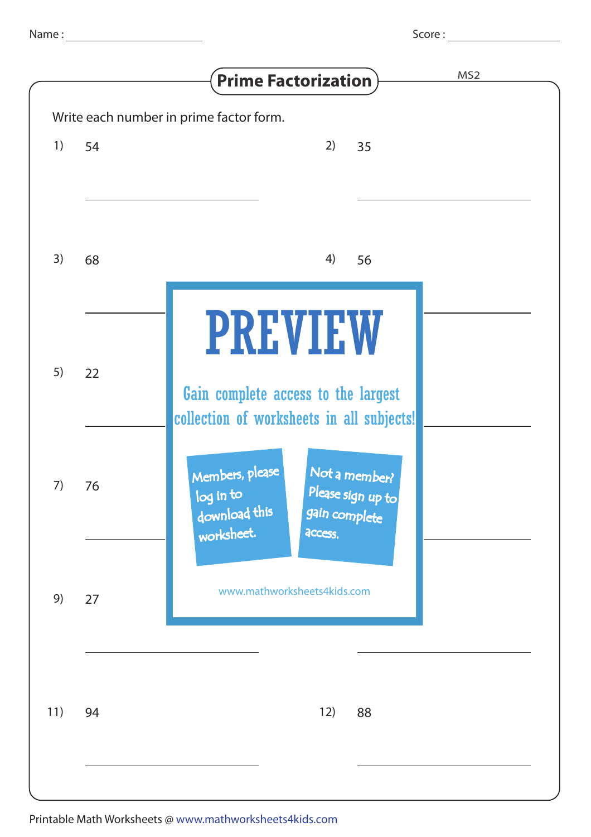| ٧<br>٧<br>٧ | ٠ |  |
|-------------|---|--|
|             |   |  |

|    | MS <sub>2</sub><br><b>Prime Factorization</b>                      |
|----|--------------------------------------------------------------------|
|    | Write each number in prime factor form.                            |
| 54 | 2)<br>35                                                           |
|    |                                                                    |
|    |                                                                    |
| 68 | 4)<br>56                                                           |
|    |                                                                    |
|    |                                                                    |
|    | <b>PREVIEW</b>                                                     |
| 22 | Gain complete access to the largest                                |
|    | collection of worksheets in all subjects!                          |
|    |                                                                    |
| 76 | Members, please<br>Not a member?<br>Please sign up to<br>log in to |
|    | download this<br>gain complete<br>worksheet.<br>access.            |
|    |                                                                    |
| 27 | www.mathworksheets4kids.com                                        |
|    |                                                                    |
|    |                                                                    |
|    |                                                                    |
| 94 | 12)<br>88                                                          |
|    |                                                                    |